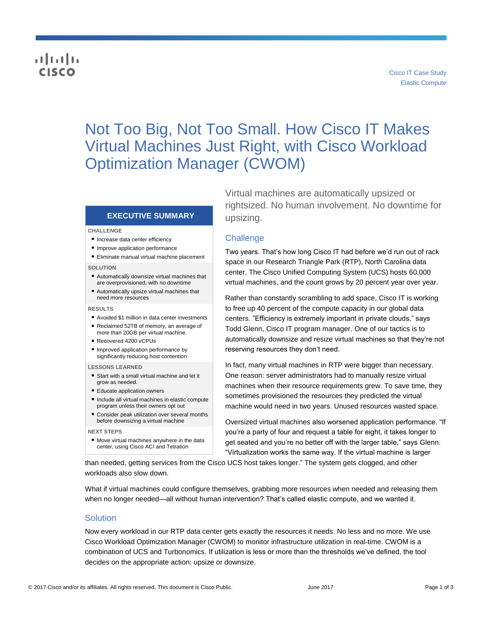## والمالة **CISCO**

# Not Too Big, Not Too Small. How Cisco IT Makes Virtual Machines Just Right, with Cisco Workload Optimization Manager (CWOM)

## **EXECUTIVE SUMMARY**

#### **CHALLENGE**

- Increase data center efficiency
- Improve application performance
- Eliminate manual virtual machine placement

#### **SOLUTION**

- Automatically downsize virtual machines that are overprovisioned, with no downtime
- Automatically upsize virtual machines that need more resources

#### **RESULTS**

- Avoided \$1 million in data center investments ● Reclaimed 52TB of memory, an average of more than 20GB per virtual machine.
- Recovered 4200 vCPUs
- Improved application performance by significantly reducing host contention

#### **LESSONS LEARNED**

- Start with a small virtual machine and let it grow as needed.
- Educate application owners
- Include all virtual machines in elastic compute program unless their owners opt out
- Consider peak utilization over several months before downsizing a virtual machine

#### **NEXT STEPS**

● Move virtual machines anywhere in the data center, using Cisco ACI and Tetration

Virtual machines are automatically upsized or rightsized. No human involvement. No downtime for upsizing.

#### **Challenge**

Two years. That's how long Cisco IT had before we'd run out of rack space in our Research Triangle Park (RTP), North Carolina data center. The Cisco Unified Computing System (UCS) hosts 60,000 virtual machines, and the count grows by 20 percent year over year.

Rather than constantly scrambling to add space, Cisco IT is working to free up 40 percent of the compute capacity in our global data centers. "Efficiency is extremely important in private clouds," says Todd Glenn, Cisco IT program manager. One of our tactics is to automatically downsize and resize virtual machines so that they're not reserving resources they don't need.

In fact, many virtual machines in RTP were bigger than necessary. One reason: server administrators had to manually resize virtual machines when their resource requirements grew. To save time, they sometimes provisioned the resources they predicted the virtual machine would need in two years. Unused resources wasted space.

Oversized virtual machines also worsened application performance. "If you're a party of four and request a table for eight, it takes longer to get seated and you're no better off with the larger table," says Glenn. "Virtualization works the same way. If the virtual machine is larger

than needed, getting services from the Cisco UCS host takes longer." The system gets clogged, and other workloads also slow down.

What if virtual machines could configure themselves, grabbing more resources when needed and releasing them when no longer needed—all without human intervention? That's called elastic compute, and we wanted it.

#### Solution

Now every workload in our RTP data center gets exactly the resources it needs. No less and no more. We use Cisco Workload Optimization Manager (CWOM) to monitor infrastructure utilization in real-time. CWOM is a combination of UCS and Turbonomics. If utilization is less or more than the thresholds we've defined, the tool decides on the appropriate action: upsize or downsize.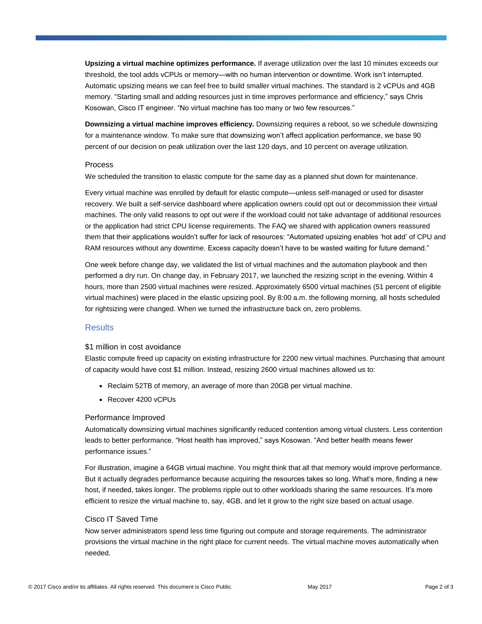**Upsizing a virtual machine optimizes performance.** If average utilization over the last 10 minutes exceeds our threshold, the tool adds vCPUs or memory—with no human intervention or downtime. Work isn't interrupted. Automatic upsizing means we can feel free to build smaller virtual machines. The standard is 2 vCPUs and 4GB memory. "Starting small and adding resources just in time improves performance and efficiency," says Chris Kosowan, Cisco IT engineer. "No virtual machine has too many or two few resources."

**Downsizing a virtual machine improves efficiency.** Downsizing requires a reboot, so we schedule downsizing for a maintenance window. To make sure that downsizing won't affect application performance, we base 90 percent of our decision on peak utilization over the last 120 days, and 10 percent on average utilization.

#### **Process**

We scheduled the transition to elastic compute for the same day as a planned shut down for maintenance.

Every virtual machine was enrolled by default for elastic compute—unless self-managed or used for disaster recovery. We built a self-service dashboard where application owners could opt out or decommission their virtual machines. The only valid reasons to opt out were if the workload could not take advantage of additional resources or the application had strict CPU license requirements. The FAQ we shared with application owners reassured them that their applications wouldn't suffer for lack of resources: "Automated upsizing enables 'hot add' of CPU and RAM resources without any downtime. Excess capacity doesn't have to be wasted waiting for future demand."

One week before change day, we validated the list of virtual machines and the automation playbook and then performed a dry run. On change day, in February 2017, we launched the resizing script in the evening. Within 4 hours, more than 2500 virtual machines were resized. Approximately 6500 virtual machines (51 percent of eligible virtual machines) were placed in the elastic upsizing pool. By 8:00 a.m. the following morning, all hosts scheduled for rightsizing were changed. When we turned the infrastructure back on, zero problems.

## **Results**

## \$1 million in cost avoidance

Elastic compute freed up capacity on existing infrastructure for 2200 new virtual machines. Purchasing that amount of capacity would have cost \$1 million. Instead, resizing 2600 virtual machines allowed us to:

- Reclaim 52TB of memory, an average of more than 20GB per virtual machine.
- Recover 4200 vCPUs

## Performance Improved

Automatically downsizing virtual machines significantly reduced contention among virtual clusters. Less contention leads to better performance. "Host health has improved," says Kosowan. "And better health means fewer performance issues."

For illustration, imagine a 64GB virtual machine. You might think that all that memory would improve performance. But it actually degrades performance because acquiring the resources takes so long. What's more, finding a new host, if needed, takes longer. The problems ripple out to other workloads sharing the same resources. It's more efficient to resize the virtual machine to, say, 4GB, and let it grow to the right size based on actual usage.

## Cisco IT Saved Time

Now server administrators spend less time figuring out compute and storage requirements. The administrator provisions the virtual machine in the right place for current needs. The virtual machine moves automatically when needed.